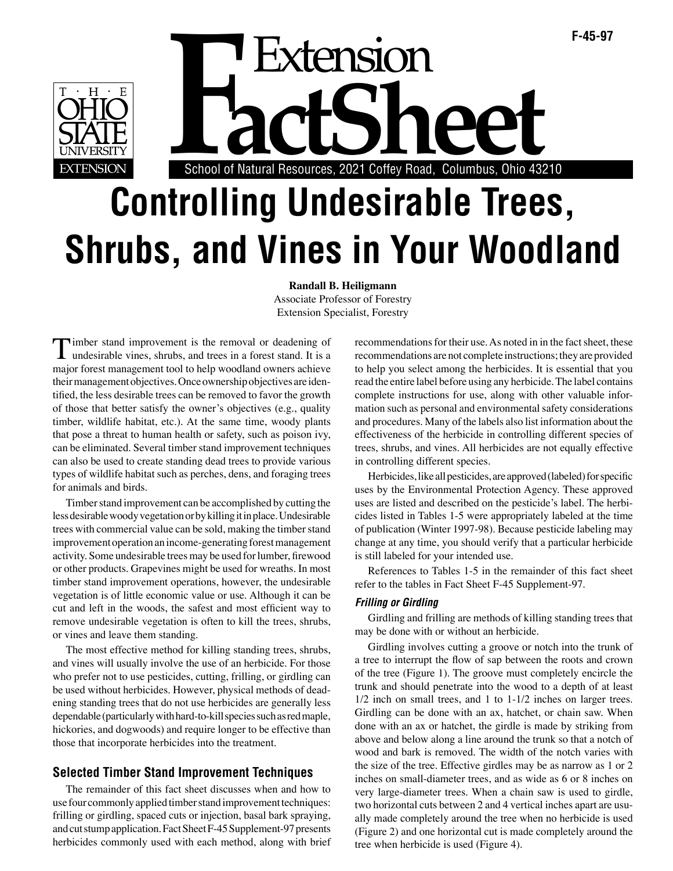**F-45-97**<br>**F-45-97**<br>School of Natural Resources, 2021 Coffey Road, Columbus, Ohio 43210 School of Natural Resources, 2021 Coffey Road, Columbus, Ohio 43210

# **Controlling Undesirable Trees, Shrubs, and Vines in Your Woodland**

**Randall B. Heiligmann** Associate Professor of Forestry Extension Specialist, Forestry

Timber stand improvement is the removal or deadening of undesirable vines, shrubs, and trees in a forest stand. It is a major forest management tool to help woodland owners achieve their management objectives. Once ownership objectives are identified, the less desirable trees can be removed to favor the growth of those that better satisfy the owner's objectives (e.g., quality timber, wildlife habitat, etc.). At the same time, woody plants that pose a threat to human health or safety, such as poison ivy, can be eliminated. Several timber stand improvement techniques can also be used to create standing dead trees to provide various types of wildlife habitat such as perches, dens, and foraging trees for animals and birds.

Timber stand improvement can be accomplished by cutting the less desirable woody vegetation or by killing it in place. Undesirable trees with commercial value can be sold, making the timber stand improvement operation an income-generating forest management activity. Some undesirable trees may be used for lumber, firewood or other products. Grapevines might be used for wreaths. In most timber stand improvement operations, however, the undesirable vegetation is of little economic value or use. Although it can be cut and left in the woods, the safest and most efficient way to remove undesirable vegetation is often to kill the trees, shrubs, or vines and leave them standing.

The most effective method for killing standing trees, shrubs, and vines will usually involve the use of an herbicide. For those who prefer not to use pesticides, cutting, frilling, or girdling can be used without herbicides. However, physical methods of deadening standing trees that do not use herbicides are generally less dependable (particularly with hard-to-kill species such as red maple, hickories, and dogwoods) and require longer to be effective than those that incorporate herbicides into the treatment.

# **Selected Timber Stand Improvement Techniques**

The remainder of this fact sheet discusses when and how to use four commonly applied timber stand improvement techniques: frilling or girdling, spaced cuts or injection, basal bark spraying, and cut stump application. Fact Sheet F-45 Supplement-97 presents herbicides commonly used with each method, along with brief recommendations for their use. As noted in in the fact sheet, these recommendations are not complete instructions; they are provided to help you select among the herbicides. It is essential that you read the entire label before using any herbicide. The label contains complete instructions for use, along with other valuable information such as personal and environmental safety considerations and procedures. Many of the labels also list information about the effectiveness of the herbicide in controlling different species of trees, shrubs, and vines. All herbicides are not equally effective in controlling different species.

Herbicides, like all pesticides, are approved (labeled) for specific uses by the Environmental Protection Agency. These approved uses are listed and described on the pesticide's label. The herbicides listed in Tables 1-5 were appropriately labeled at the time of publication (Winter 1997-98). Because pesticide labeling may change at any time, you should verify that a particular herbicide is still labeled for your intended use.

References to Tables 1-5 in the remainder of this fact sheet refer to the tables in Fact Sheet F-45 Supplement-97.

## **Frilling or Girdling**

Girdling and frilling are methods of killing standing trees that may be done with or without an herbicide.

Girdling involves cutting a groove or notch into the trunk of a tree to interrupt the flow of sap between the roots and crown of the tree (Figure 1). The groove must completely encircle the trunk and should penetrate into the wood to a depth of at least 1/2 inch on small trees, and 1 to 1-1/2 inches on larger trees. Girdling can be done with an ax, hatchet, or chain saw. When done with an ax or hatchet, the girdle is made by striking from above and below along a line around the trunk so that a notch of wood and bark is removed. The width of the notch varies with the size of the tree. Effective girdles may be as narrow as 1 or 2 inches on small-diameter trees, and as wide as 6 or 8 inches on very large-diameter trees. When a chain saw is used to girdle, two horizontal cuts between 2 and 4 vertical inches apart are usually made completely around the tree when no herbicide is used (Figure 2) and one horizontal cut is made completely around the tree when herbicide is used (Figure 4).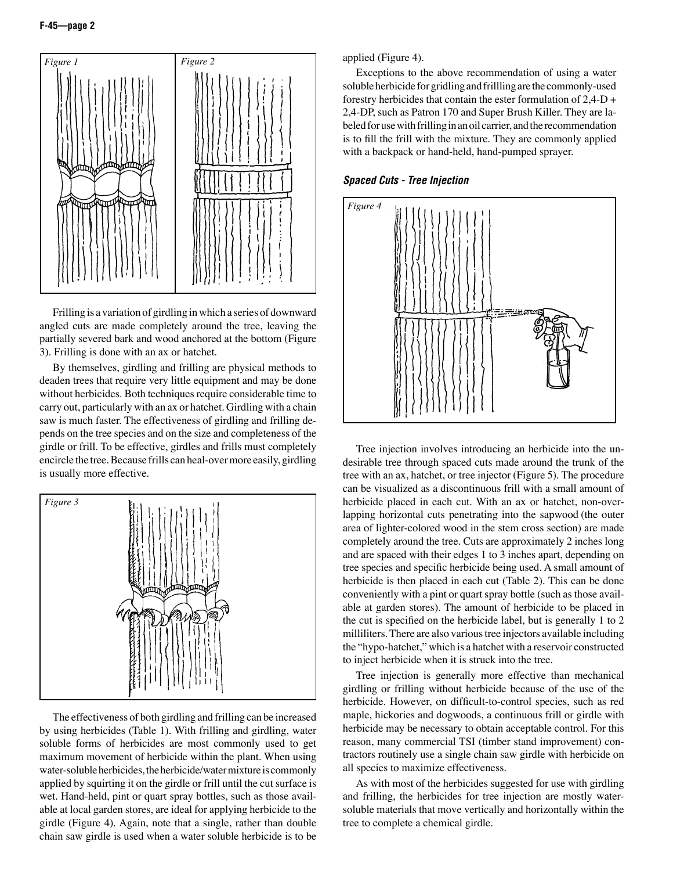

Frilling is a variation of girdling in which a series of downward angled cuts are made completely around the tree, leaving the partially severed bark and wood anchored at the bottom (Figure 3). Frilling is done with an ax or hatchet.

By themselves, girdling and frilling are physical methods to deaden trees that require very little equipment and may be done without herbicides. Both techniques require considerable time to carry out, particularly with an ax or hatchet. Girdling with a chain saw is much faster. The effectiveness of girdling and frilling depends on the tree species and on the size and completeness of the girdle or frill. To be effective, girdles and frills must completely encircle the tree. Because frills can heal-over more easily, girdling is usually more effective.



The effectiveness of both girdling and frilling can be increased by using herbicides (Table 1). With frilling and girdling, water soluble forms of herbicides are most commonly used to get maximum movement of herbicide within the plant. When using water-soluble herbicides, the herbicide/water mixture is commonly applied by squirting it on the girdle or frill until the cut surface is wet. Hand-held, pint or quart spray bottles, such as those available at local garden stores, are ideal for applying herbicide to the girdle (Figure 4). Again, note that a single, rather than double chain saw girdle is used when a water soluble herbicide is to be

applied (Figure 4).

Exceptions to the above recommendation of using a water soluble herbicide for gridling and frillling are the commonly-used forestry herbicides that contain the ester formulation of 2,4-D + 2,4-DP, such as Patron 170 and Super Brush Killer. They are labeled for use with frilling in an oil carrier, and the recommendation is to fill the frill with the mixture. They are commonly applied with a backpack or hand-held, hand-pumped sprayer.





Tree injection involves introducing an herbicide into the undesirable tree through spaced cuts made around the trunk of the tree with an ax, hatchet, or tree injector (Figure 5). The procedure can be visualized as a discontinuous frill with a small amount of herbicide placed in each cut. With an ax or hatchet, non-overlapping horizontal cuts penetrating into the sapwood (the outer area of lighter-colored wood in the stem cross section) are made completely around the tree. Cuts are approximately 2 inches long and are spaced with their edges 1 to 3 inches apart, depending on tree species and specific herbicide being used. A small amount of herbicide is then placed in each cut (Table 2). This can be done conveniently with a pint or quart spray bottle (such as those available at garden stores). The amount of herbicide to be placed in the cut is specified on the herbicide label, but is generally 1 to 2 milliliters. There are also various tree injectors available including the "hypo-hatchet," which is a hatchet with a reservoir constructed to inject herbicide when it is struck into the tree.

Tree injection is generally more effective than mechanical girdling or frilling without herbicide because of the use of the herbicide. However, on difficult-to-control species, such as red maple, hickories and dogwoods, a continuous frill or girdle with herbicide may be necessary to obtain acceptable control. For this reason, many commercial TSI (timber stand improvement) contractors routinely use a single chain saw girdle with herbicide on all species to maximize effectiveness.

As with most of the herbicides suggested for use with girdling and frilling, the herbicides for tree injection are mostly watersoluble materials that move vertically and horizontally within the tree to complete a chemical girdle.